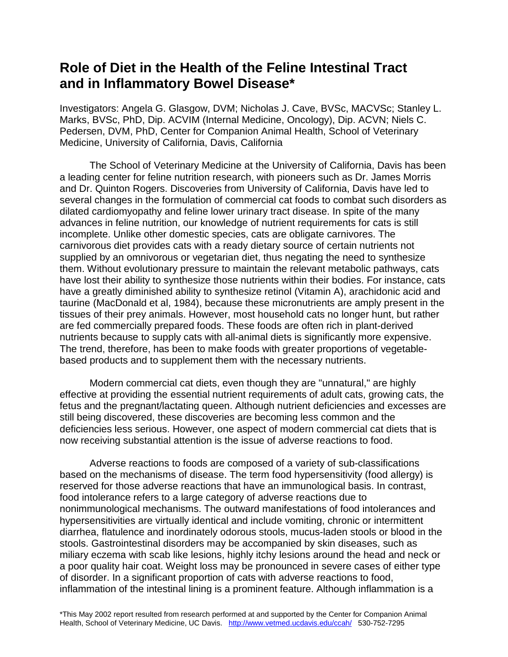## **Role of Diet in the Health of the Feline Intestinal Tract and in Inflammatory Bowel Disease\***

Investigators: Angela G. Glasgow, DVM; Nicholas J. Cave, BVSc, MACVSc; Stanley L. Marks, BVSc, PhD, Dip. ACVIM (Internal Medicine, Oncology), Dip. ACVN; Niels C. Pedersen, DVM, PhD, Center for Companion Animal Health, School of Veterinary Medicine, University of California, Davis, California

The School of Veterinary Medicine at the University of California, Davis has been a leading center for feline nutrition research, with pioneers such as Dr. James Morris and Dr. Quinton Rogers. Discoveries from University of California, Davis have led to several changes in the formulation of commercial cat foods to combat such disorders as dilated cardiomyopathy and feline lower urinary tract disease. In spite of the many advances in feline nutrition, our knowledge of nutrient requirements for cats is still incomplete. Unlike other domestic species, cats are obligate carnivores. The carnivorous diet provides cats with a ready dietary source of certain nutrients not supplied by an omnivorous or vegetarian diet, thus negating the need to synthesize them. Without evolutionary pressure to maintain the relevant metabolic pathways, cats have lost their ability to synthesize those nutrients within their bodies. For instance, cats have a greatly diminished ability to synthesize retinol (Vitamin A), arachidonic acid and taurine (MacDonald et al, 1984), because these micronutrients are amply present in the tissues of their prey animals. However, most household cats no longer hunt, but rather are fed commercially prepared foods. These foods are often rich in plant-derived nutrients because to supply cats with all-animal diets is significantly more expensive. The trend, therefore, has been to make foods with greater proportions of vegetablebased products and to supplement them with the necessary nutrients.

Modern commercial cat diets, even though they are "unnatural," are highly effective at providing the essential nutrient requirements of adult cats, growing cats, the fetus and the pregnant/lactating queen. Although nutrient deficiencies and excesses are still being discovered, these discoveries are becoming less common and the deficiencies less serious. However, one aspect of modern commercial cat diets that is now receiving substantial attention is the issue of adverse reactions to food.

Adverse reactions to foods are composed of a variety of sub-classifications based on the mechanisms of disease. The term food hypersensitivity (food allergy) is reserved for those adverse reactions that have an immunological basis. In contrast, food intolerance refers to a large category of adverse reactions due to nonimmunological mechanisms. The outward manifestations of food intolerances and hypersensitivities are virtually identical and include vomiting, chronic or intermittent diarrhea, flatulence and inordinately odorous stools, mucus-laden stools or blood in the stools. Gastrointestinal disorders may be accompanied by skin diseases, such as miliary eczema with scab like lesions, highly itchy lesions around the head and neck or a poor quality hair coat. Weight loss may be pronounced in severe cases of either type of disorder. In a significant proportion of cats with adverse reactions to food, inflammation of the intestinal lining is a prominent feature. Although inflammation is a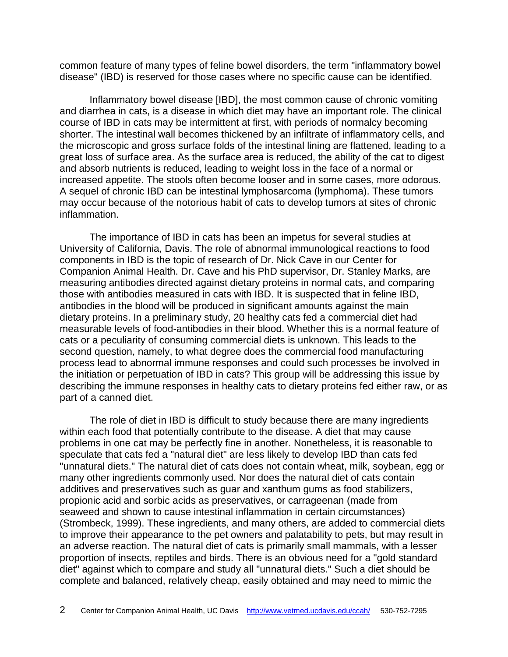common feature of many types of feline bowel disorders, the term "inflammatory bowel disease" (IBD) is reserved for those cases where no specific cause can be identified.

Inflammatory bowel disease [IBD], the most common cause of chronic vomiting and diarrhea in cats, is a disease in which diet may have an important role. The clinical course of IBD in cats may be intermittent at first, with periods of normalcy becoming shorter. The intestinal wall becomes thickened by an infiltrate of inflammatory cells, and the microscopic and gross surface folds of the intestinal lining are flattened, leading to a great loss of surface area. As the surface area is reduced, the ability of the cat to digest and absorb nutrients is reduced, leading to weight loss in the face of a normal or increased appetite. The stools often become looser and in some cases, more odorous. A sequel of chronic IBD can be intestinal lymphosarcoma (lymphoma). These tumors may occur because of the notorious habit of cats to develop tumors at sites of chronic inflammation.

The importance of IBD in cats has been an impetus for several studies at University of California, Davis. The role of abnormal immunological reactions to food components in IBD is the topic of research of Dr. Nick Cave in our Center for Companion Animal Health. Dr. Cave and his PhD supervisor, Dr. Stanley Marks, are measuring antibodies directed against dietary proteins in normal cats, and comparing those with antibodies measured in cats with IBD. It is suspected that in feline IBD, antibodies in the blood will be produced in significant amounts against the main dietary proteins. In a preliminary study, 20 healthy cats fed a commercial diet had measurable levels of food-antibodies in their blood. Whether this is a normal feature of cats or a peculiarity of consuming commercial diets is unknown. This leads to the second question, namely, to what degree does the commercial food manufacturing process lead to abnormal immune responses and could such processes be involved in the initiation or perpetuation of IBD in cats? This group will be addressing this issue by describing the immune responses in healthy cats to dietary proteins fed either raw, or as part of a canned diet.

The role of diet in IBD is difficult to study because there are many ingredients within each food that potentially contribute to the disease. A diet that may cause problems in one cat may be perfectly fine in another. Nonetheless, it is reasonable to speculate that cats fed a "natural diet" are less likely to develop IBD than cats fed "unnatural diets." The natural diet of cats does not contain wheat, milk, soybean, egg or many other ingredients commonly used. Nor does the natural diet of cats contain additives and preservatives such as guar and xanthum gums as food stabilizers, propionic acid and sorbic acids as preservatives, or carrageenan (made from seaweed and shown to cause intestinal inflammation in certain circumstances) (Strombeck, 1999). These ingredients, and many others, are added to commercial diets to improve their appearance to the pet owners and palatability to pets, but may result in an adverse reaction. The natural diet of cats is primarily small mammals, with a lesser proportion of insects, reptiles and birds. There is an obvious need for a "gold standard diet" against which to compare and study all "unnatural diets." Such a diet should be complete and balanced, relatively cheap, easily obtained and may need to mimic the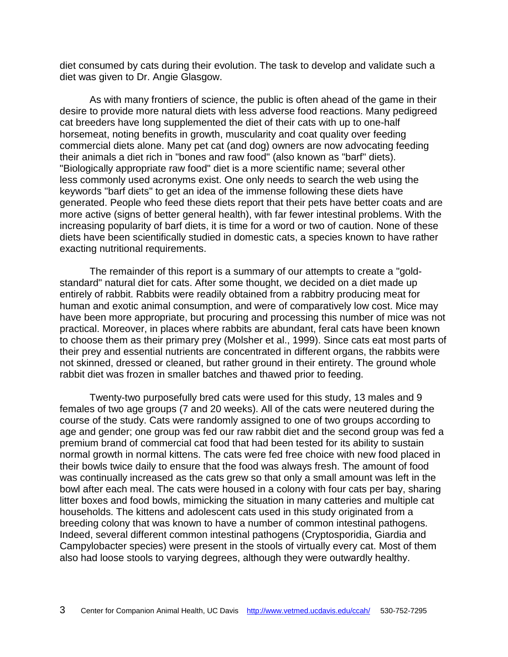diet consumed by cats during their evolution. The task to develop and validate such a diet was given to Dr. Angie Glasgow.

As with many frontiers of science, the public is often ahead of the game in their desire to provide more natural diets with less adverse food reactions. Many pedigreed cat breeders have long supplemented the diet of their cats with up to one-half horsemeat, noting benefits in growth, muscularity and coat quality over feeding commercial diets alone. Many pet cat (and dog) owners are now advocating feeding their animals a diet rich in "bones and raw food" (also known as "barf" diets). "Biologically appropriate raw food" diet is a more scientific name; several other less commonly used acronyms exist. One only needs to search the web using the keywords "barf diets" to get an idea of the immense following these diets have generated. People who feed these diets report that their pets have better coats and are more active (signs of better general health), with far fewer intestinal problems. With the increasing popularity of barf diets, it is time for a word or two of caution. None of these diets have been scientifically studied in domestic cats, a species known to have rather exacting nutritional requirements.

The remainder of this report is a summary of our attempts to create a "goldstandard" natural diet for cats. After some thought, we decided on a diet made up entirely of rabbit. Rabbits were readily obtained from a rabbitry producing meat for human and exotic animal consumption, and were of comparatively low cost. Mice may have been more appropriate, but procuring and processing this number of mice was not practical. Moreover, in places where rabbits are abundant, feral cats have been known to choose them as their primary prey (Molsher et al., 1999). Since cats eat most parts of their prey and essential nutrients are concentrated in different organs, the rabbits were not skinned, dressed or cleaned, but rather ground in their entirety. The ground whole rabbit diet was frozen in smaller batches and thawed prior to feeding.

Twenty-two purposefully bred cats were used for this study, 13 males and 9 females of two age groups (7 and 20 weeks). All of the cats were neutered during the course of the study. Cats were randomly assigned to one of two groups according to age and gender; one group was fed our raw rabbit diet and the second group was fed a premium brand of commercial cat food that had been tested for its ability to sustain normal growth in normal kittens. The cats were fed free choice with new food placed in their bowls twice daily to ensure that the food was always fresh. The amount of food was continually increased as the cats grew so that only a small amount was left in the bowl after each meal. The cats were housed in a colony with four cats per bay, sharing litter boxes and food bowls, mimicking the situation in many catteries and multiple cat households. The kittens and adolescent cats used in this study originated from a breeding colony that was known to have a number of common intestinal pathogens. Indeed, several different common intestinal pathogens (Cryptosporidia, Giardia and Campylobacter species) were present in the stools of virtually every cat. Most of them also had loose stools to varying degrees, although they were outwardly healthy.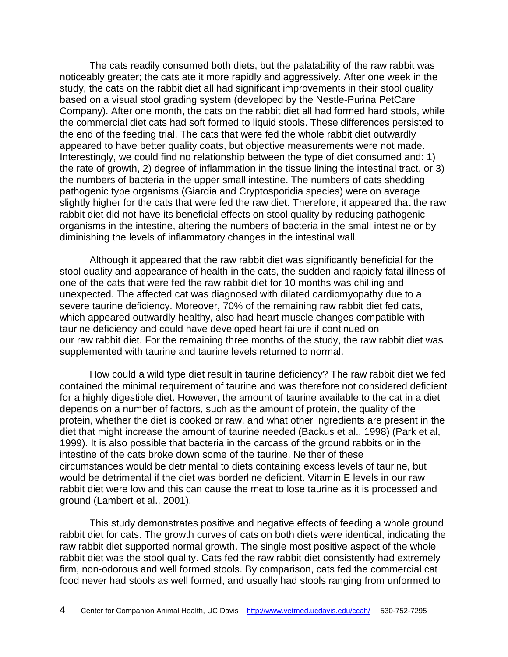The cats readily consumed both diets, but the palatability of the raw rabbit was noticeably greater; the cats ate it more rapidly and aggressively. After one week in the study, the cats on the rabbit diet all had significant improvements in their stool quality based on a visual stool grading system (developed by the Nestle-Purina PetCare Company). After one month, the cats on the rabbit diet all had formed hard stools, while the commercial diet cats had soft formed to liquid stools. These differences persisted to the end of the feeding trial. The cats that were fed the whole rabbit diet outwardly appeared to have better quality coats, but objective measurements were not made. Interestingly, we could find no relationship between the type of diet consumed and: 1) the rate of growth, 2) degree of inflammation in the tissue lining the intestinal tract, or 3) the numbers of bacteria in the upper small intestine. The numbers of cats shedding pathogenic type organisms (Giardia and Cryptosporidia species) were on average slightly higher for the cats that were fed the raw diet. Therefore, it appeared that the raw rabbit diet did not have its beneficial effects on stool quality by reducing pathogenic organisms in the intestine, altering the numbers of bacteria in the small intestine or by diminishing the levels of inflammatory changes in the intestinal wall.

Although it appeared that the raw rabbit diet was significantly beneficial for the stool quality and appearance of health in the cats, the sudden and rapidly fatal illness of one of the cats that were fed the raw rabbit diet for 10 months was chilling and unexpected. The affected cat was diagnosed with dilated cardiomyopathy due to a severe taurine deficiency. Moreover, 70% of the remaining raw rabbit diet fed cats, which appeared outwardly healthy, also had heart muscle changes compatible with taurine deficiency and could have developed heart failure if continued on our raw rabbit diet. For the remaining three months of the study, the raw rabbit diet was supplemented with taurine and taurine levels returned to normal.

How could a wild type diet result in taurine deficiency? The raw rabbit diet we fed contained the minimal requirement of taurine and was therefore not considered deficient for a highly digestible diet. However, the amount of taurine available to the cat in a diet depends on a number of factors, such as the amount of protein, the quality of the protein, whether the diet is cooked or raw, and what other ingredients are present in the diet that might increase the amount of taurine needed (Backus et al., 1998) (Park et al, 1999). It is also possible that bacteria in the carcass of the ground rabbits or in the intestine of the cats broke down some of the taurine. Neither of these circumstances would be detrimental to diets containing excess levels of taurine, but would be detrimental if the diet was borderline deficient. Vitamin E levels in our raw rabbit diet were low and this can cause the meat to lose taurine as it is processed and ground (Lambert et al., 2001).

This study demonstrates positive and negative effects of feeding a whole ground rabbit diet for cats. The growth curves of cats on both diets were identical, indicating the raw rabbit diet supported normal growth. The single most positive aspect of the whole rabbit diet was the stool quality. Cats fed the raw rabbit diet consistently had extremely firm, non-odorous and well formed stools. By comparison, cats fed the commercial cat food never had stools as well formed, and usually had stools ranging from unformed to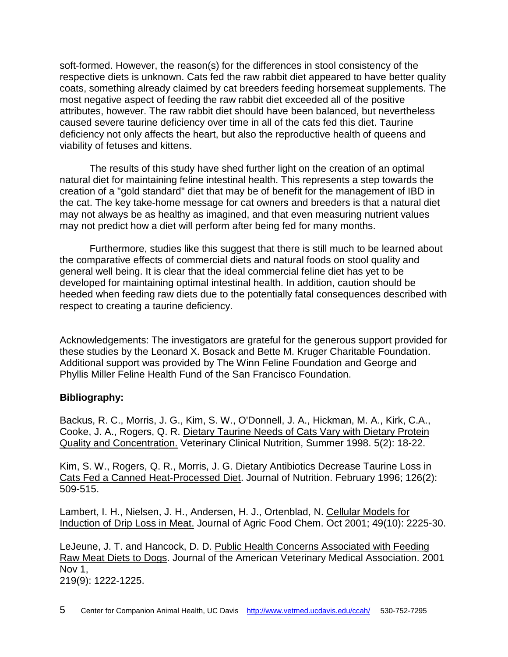soft-formed. However, the reason(s) for the differences in stool consistency of the respective diets is unknown. Cats fed the raw rabbit diet appeared to have better quality coats, something already claimed by cat breeders feeding horsemeat supplements. The most negative aspect of feeding the raw rabbit diet exceeded all of the positive attributes, however. The raw rabbit diet should have been balanced, but nevertheless caused severe taurine deficiency over time in all of the cats fed this diet. Taurine deficiency not only affects the heart, but also the reproductive health of queens and viability of fetuses and kittens.

The results of this study have shed further light on the creation of an optimal natural diet for maintaining feline intestinal health. This represents a step towards the creation of a "gold standard" diet that may be of benefit for the management of IBD in the cat. The key take-home message for cat owners and breeders is that a natural diet may not always be as healthy as imagined, and that even measuring nutrient values may not predict how a diet will perform after being fed for many months.

 Furthermore, studies like this suggest that there is still much to be learned about the comparative effects of commercial diets and natural foods on stool quality and general well being. It is clear that the ideal commercial feline diet has yet to be developed for maintaining optimal intestinal health. In addition, caution should be heeded when feeding raw diets due to the potentially fatal consequences described with respect to creating a taurine deficiency.

Acknowledgements: The investigators are grateful for the generous support provided for these studies by the Leonard X. Bosack and Bette M. Kruger Charitable Foundation. Additional support was provided by The Winn Feline Foundation and George and Phyllis Miller Feline Health Fund of the San Francisco Foundation.

## **Bibliography:**

Backus, R. C., Morris, J. G., Kim, S. W., O'Donnell, J. A., Hickman, M. A., Kirk, C.A., Cooke, J. A., Rogers, Q. R. Dietary Taurine Needs of Cats Vary with Dietary Protein Quality and Concentration. Veterinary Clinical Nutrition, Summer 1998. 5(2): 18-22.

Kim, S. W., Rogers, Q. R., Morris, J. G. Dietary Antibiotics Decrease Taurine Loss in Cats Fed a Canned Heat-Processed Diet. Journal of Nutrition. February 1996; 126(2): 509-515.

Lambert, I. H., Nielsen, J. H., Andersen, H. J., Ortenblad, N. Cellular Models for Induction of Drip Loss in Meat. Journal of Agric Food Chem. Oct 2001; 49(10): 2225-30.

LeJeune, J. T. and Hancock, D. D. Public Health Concerns Associated with Feeding Raw Meat Diets to Dogs. Journal of the American Veterinary Medical Association. 2001 Nov 1, 219(9): 1222-1225.